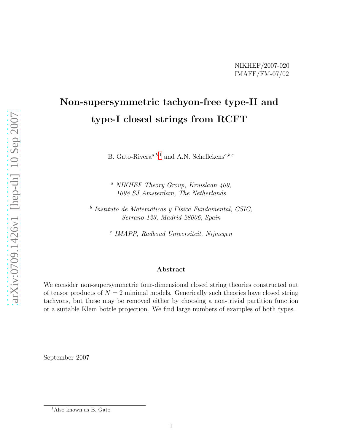## Non-supersymmetric tachyon-free type-II and type-I closed strings from RCFT

B. Gato-Rivera<sup> $a,b,1$  $a,b,1$ </sup> and A.N. Schellekens<sup> $a,b,c$ </sup>

<sup>a</sup> NIKHEF Theory Group, Kruislaan 409, 1098 SJ Amsterdam, The Netherlands

 $b$  Instituto de Matemáticas y Física Fundamental, CSIC, Serrano 123, Madrid 28006, Spain

c IMAPP, Radboud Universiteit, Nijmegen

## Abstract

We consider non-supersymmetric four-dimensional closed string theories constructed out of tensor products of  $N = 2$  minimal models. Generically such theories have closed string tachyons, but these may be removed either by choosing a non-trivial partition function or a suitable Klein bottle projection. We find large numbers of examples of both types.

September 2007

<span id="page-0-0"></span><sup>1</sup>Also known as B. Gato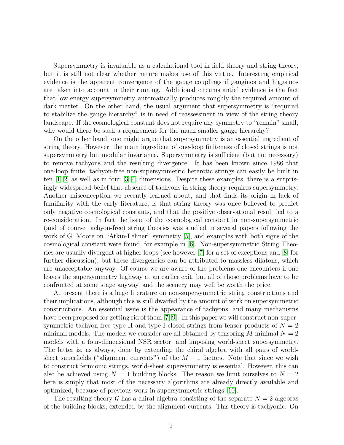Supersymmetry is invaluable as a calculational tool in field theory and string theory, but it is still not clear whether nature makes use of this virtue. Interesting empirical evidence is the apparent convergence of the gauge couplings if gauginos and higgsinos are taken into account in their running. Additional circumstantial evidence is the fact that low energy supersymmetry automatically produces roughly the required amount of dark matter. On the other hand, the usual argument that supersymmetry is "required to stabilize the gauge hierarchy" is in need of reassessment in view of the string theory landscape. If the cosmological constant does not require any symmetry to "remain" small, why would there be such a requirement for the much smaller gauge hierarchy?

On the other hand, one might argue that supersymmetry is an essential ingredient of string theory. However, the main ingredient of one-loop finiteness of closed strings is not supersymmetry but modular invariance. Supersymmetry is sufficient (but not necessary) to remove tachyons and the resulting divergence. It has been known since 1986 that one-loop finite, tachyon-free non-supersymmetric heterotic strings can easily be built in ten  $[1][2]$  $[1][2]$  as well as in four  $[3][4]$  $[3][4]$  dimensions. Despite these examples, there is a surprisingly widespread belief that absence of tachyons in string theory requires supersymmetry. Another misconception we recently learned about, and that finds its origin in lack of familiarity with the early literature, is that string theory was once believed to predict only negative cosmological constants, and that the positive observational result led to a re-consideration. In fact the issue of the cosmological constant in non-supersymmetric (and of course tachyon-free) string theories was studied in several papers following the work of G. Moore on "Atkin-Lehner" symmetry [\[5\]](#page-7-4), and examples with both signs of the cosmological constant were found, for example in [\[6\]](#page-7-5). Non-supersymmetric String Theories are usually divergent at higher loops (see however [\[7\]](#page-7-6) for a set of exceptions and [\[8\]](#page-7-7) for further discussion), but these divergencies can be attributed to massless dilatons, which are unacceptable anyway. Of course we are aware of the problems one encounters if one leaves the supersymmetry highway at an earlier exit, but all of those problems have to be confronted at some stage anyway, and the scenery may well be worth the price.

At present there is a huge literature on non-supersymmetric string constructions and their implications, although this is still dwarfed by the amount of work on supersymmetric constructions. An essential issue is the appearance of tachyons, and many mechanisms have been proposed for getting rid of them  $|7||9|$ . In this paper we will construct non-supersymmetric tachyon-free type-II and type-I closed strings from tensor products of  $N = 2$ minimal models. The models we consider are all obtained by tensoring M minimal  $N = 2$ models with a four-dimensional NSR sector, and imposing world-sheet supersymmetry. The latter is, as always, done by extending the chiral algebra with all pairs of worldsheet superfields ("alignment currents") of the  $M + 1$  factors. Note that since we wish to construct fermionic strings, world-sheet supersymmetry is essential. However, this can also be achieved using  $N = 1$  building blocks. The reason we limit ourselves to  $N = 2$ here is simply that most of the necessary algorithms are already directly available and optimized, because of previous work in supersymmetric strings [\[10\]](#page-8-0).

The resulting theory G has a chiral algebra consisting of the separate  $N = 2$  algebras of the building blocks, extended by the alignment currents. This theory is tachyonic. On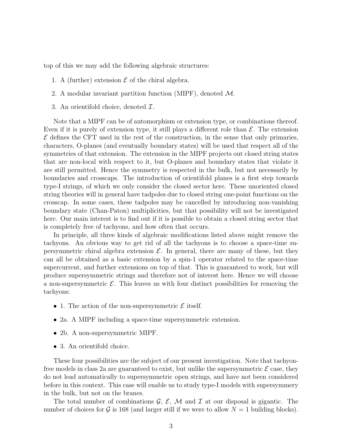top of this we may add the following algebraic structures:

- 1. A (further) extension  $\mathcal E$  of the chiral algebra.
- 2. A modular invariant partition function (MIPF), denoted  $M$ .
- 3. An orientifold choice, denoted  $\mathcal{I}$ .

Note that a MIPF can be of automorphism or extension type, or combinations thereof. Even if it is purely of extension type, it still plays a different role than  $\mathcal{E}$ . The extension  $\mathcal E$  defines the CFT used in the rest of the construction, in the sense that only primaries, characters, O-planes (and eventually boundary states) will be used that respect all of the symmetries of that extension. The extension in the MIPF projects out closed string states that are non-local with respect to it, but O-planes and boundary states that violate it are still permitted. Hence the symmetry is respected in the bulk, but not necessarily by boundaries and crosscaps. The introduction of orientifold planes is a first step towards type-I strings, of which we only consider the closed sector here. These unoriented closed string theories will in general have tadpoles due to closed string one-point functions on the crosscap. In some cases, these tadpoles may be cancelled by introducing non-vanishing boundary state (Chan-Paton) multiplicities, but that possibility will not be investigated here. Our main interest is to find out if it is possible to obtain a closed string sector that is completely free of tachyons, and how often that occurs.

In principle, all three kinds of algebraic modifications listed above might remove the tachyons. An obvious way to get rid of all the tachyons is to choose a space-time supersymmetric chiral algebra extension  $\mathcal{E}$ . In general, there are many of these, but they can all be obtained as a basic extension by a spin-1 operator related to the space-time supercurrent, and further extensions on top of that. This is guaranteed to work, but will produce supersymmetric strings and therefore not of interest here. Hence we will choose a non-supersymmetric  $\mathcal{E}$ . This leaves us with four distinct possibilities for removing the tachyons:

- 1. The action of the non-supersymmetric  $\mathcal E$  itself.
- 2a. A MIPF including a space-time supersymmetric extension.
- 2b. A non-supersymmetric MIPF.
- 3. An orientifold choice.

These four possibilities are the subject of our present investigation. Note that tachyonfree models in class 2a are guaranteed to exist, but unlike the supersymmetric  $\mathcal E$  case, they do not lead automatically to supersymmetric open strings, and have not been considered before in this context. This case will enable us to study type-I models with supersymmery in the bulk, but not on the branes.

The total number of combinations  $\mathcal{G}, \mathcal{E}, \mathcal{M}$  and  $\mathcal{I}$  at our disposal is gigantic. The number of choices for G is 168 (and larger still if we were to allow  $N = 1$  building blocks).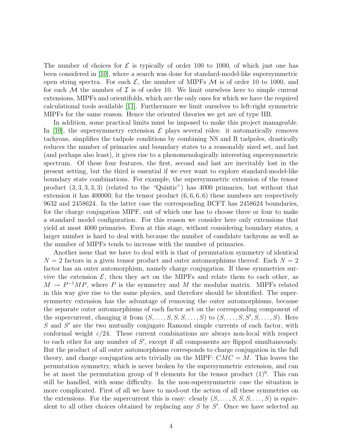The number of choices for  $\mathcal E$  is typically of order 100 to 1000, of which just one has been considered in [\[10\]](#page-8-0), where a search was done for standard-model-like supersymmetric open string spectra. For each  $\mathcal{E}$ , the number of MIPFs  $\mathcal{M}$  is of order 10 to 1000, and for each  $\mathcal M$  the number of  $\mathcal I$  is of order 10. We limit ourselves here to simple current extensions, MIPFs and orientifolds, which are the only ones for which we have the required calculational tools available [\[11\]](#page-8-1). Furthermore we limit ourselves to left-right symmetric MIPFs for the same reason. Hence the oriented theories we get are of type IIB.

In addition, some practical limits must be imposed to make this project manageable. In [\[10\]](#page-8-0), the supersymmetry extension  $\mathcal E$  plays several rôles: it automatically removes tachyons, simplifies the tadpole conditions by combining NS and R tadpoles, drastically reduces the number of primaries and boundary states to a reasonably sized set, and last (and perhaps also least), it gives rise to a phenomenologically interesting supersymmetric spectrum. Of these four features, the first, second and last are inevitably lost in the present setting, but the third is essential if we ever want to explore standard-model-like boundary state combinations. For example, the supersymmetric extension of the tensor product (3, 3, 3, 3, 3) (related to the "Quintic") has 4000 primaries, but without that extension it has 400000; for the tensor product  $(6, 6, 6, 6)$  these numbers are respectively 9632 and 2458624. In the latter case the corresponding BCFT has 2458624 boundaries, for the charge conjugation MIPF, out of which one has to choose three or four to make a standard model configuration. For this reason we consider here only extensions that yield at most 4000 primaries. Even at this stage, without considering boundary states, a larger number is hard to deal with because the number of candidate tachyons as well as the number of MIPFs tends to increase with the number of primaries.

Another issue that we have to deal with is that of permutation symmetry of identical  $N = 2$  factors in a given tensor product and outer automorphisms thereof. Each  $N = 2$ factor has an outer automorphism, namely charge conjugation. If these symmetries survive the extension  $\mathcal{E}$ , then they act on the MIPFs and relate them to each other, as  $M \to P^{-1}MP$ , where P is the symmetry and M the modular matrix. MIPFs related in this way give rise to the same physics, and therefore should be identified. The supersymmetry extension has the advantage of removing the outer automorphisms, because the separate outer automorphisms of each factor act on the corresponding component of the supercurrent, changing it from  $(S, \ldots, S, S, S, \ldots, S)$  to  $(S, \ldots, S, S', S, \ldots, S)$ . Here S and S' are the two mutually conjugate Ramond simple currents of each factor, with conformal weight  $c/24$ . These current combinations are always non-local with respect to each other for any number of  $S'$ , except if all components are flipped simultaneously. But the product of all outer automorphisms corresponds to charge conjugation in the full theory, and charge conjugation acts trivially on the MIPF:  $CMC = M$ . This leaves the permutation symmetry, which is never broken by the supersymmetric extension, and can be at most the permutation group of 9 elements for the tensor product  $(1)^9$ . This can still be handled, with some difficulty. In the non-supersymmetric case the situation is more complicated. First of all we have to mod-out the action of all these symmetries on the extensions. For the supercurrent this is easy: clearly  $(S, \ldots, S, S, S, \ldots, S)$  is equivalent to all other choices obtained by replacing any  $S$  by  $S'$ . Once we have selected an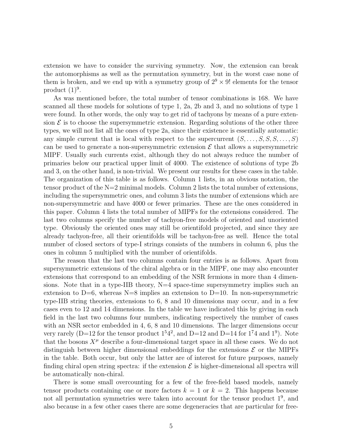extension we have to consider the surviving symmetry. Now, the extension can break the automorphisms as well as the permutation symmetry, but in the worst case none of them is broken, and we end up with a symmetry group of  $2^9 \times 9!$  elements for the tensor product  $(1)^9$ .

As was mentioned before, the total number of tensor combinations is 168. We have scanned all these models for solutions of type 1, 2a, 2b and 3, and no solutions of type 1 were found. In other words, the only way to get rid of tachyons by means of a pure extension  $\mathcal E$  is to choose the supersymmetric extension. Regarding solutions of the other three types, we will not list all the ones of type 2a, since their existence is essentially automatic: any simple current that is local with respect to the supercurrent  $(S, \ldots, S, S, S, \ldots, S)$ can be used to generate a non-supersymmetric extension  $\mathcal E$  that allows a supersymmetric MIPF. Usually such currents exist, although they do not always reduce the number of primaries below our practical upper limit of 4000. The existence of solutions of type 2b and 3, on the other hand, is non-trivial. We present our results for these cases in the table. The organization of this table is as follows. Column 1 lists, in an obvious notation, the tensor product of the  $N=2$  minimal models. Column 2 lists the total number of extensions, including the supersymmetric ones, and column 3 lists the number of extensions which are non-supersymmetric and have 4000 or fewer primaries. These are the ones considered in this paper. Column 4 lists the total number of MIPFs for the extensions considered. The last two columns specify the number of tachyon-free models of oriented and unoriented type. Obviously the oriented ones may still be orientifold projected, and since they are already tachyon-free, all their orientifolds will be tachyon-free as well. Hence the total number of closed sectors of type-I strings consists of the numbers in column 6, plus the ones in column 5 multiplied with the number of orientifolds.

The reason that the last two columns contain four entries is as follows. Apart from supersymmetric extensions of the chiral algebra or in the MIPF, one may also encounter extensions that correspond to an embedding of the NSR fermions in more than 4 dimensions. Note that in a type-IIB theory,  $N=4$  space-time supersymmetry implies such an extension to  $D=6$ , whereas  $N=8$  implies an extension to  $D=10$ . In non-supersymmetric type-IIB string theories, extensions to 6, 8 and 10 dimensions may occur, and in a few cases even to 12 and 14 dimensions. In the table we have indicated this by giving in each field in the last two columns four numbers, indicating respectively the number of cases with an NSR sector embedded in 4, 6, 8 and 10 dimensions. The larger dimensions occur very rarely (D=12 for the tensor product  $1<sup>5</sup>4<sup>2</sup>$ , and D=12 and D=14 for  $1<sup>7</sup>4$  and  $1<sup>9</sup>$ ). Note that the bosons  $X^{\mu}$  describe a four-dimensional target space in all these cases. We do not distinguish between higher dimensional embeddings for the extensions  $\mathcal E$  or the MIPFs in the table. Both occur, but only the latter are of interest for future purposes, namely finding chiral open string spectra: if the extension  $\mathcal E$  is higher-dimensional all spectra will be automatically non-chiral.

There is some small overcounting for a few of the free-field based models, namely tensor products containing one or more factors  $k = 1$  or  $k = 2$ . This happens because not all permutation symmetries were taken into account for the tensor product  $1^9$ , and also because in a few other cases there are some degeneracies that are particular for free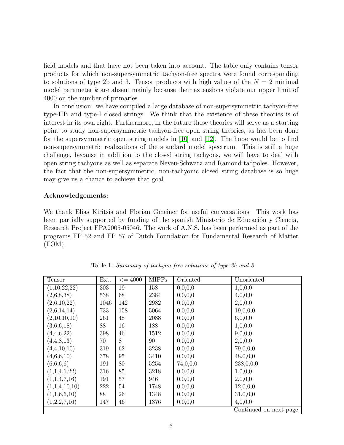field models and that have not been taken into account. The table only contains tensor products for which non-supersymmetric tachyon-free spectra were found corresponding to solutions of type 2b and 3. Tensor products with high values of the  $N = 2$  minimal model parameter  $k$  are absent mainly because their extensions violate our upper limit of 4000 on the number of primaries.

In conclusion: we have compiled a large database of non-supersymmetric tachyon-free type-IIB and type-I closed strings. We think that the existence of these theories is of interest in its own right. Furthermore, in the future these theories will serve as a starting point to study non-supersymmetric tachyon-free open string theories, as has been done for the supersymmetric open string models in [\[10\]](#page-8-0) and [\[12\]](#page-8-2). The hope would be to find non-supersymmetric realizations of the standard model spectrum. This is still a huge challenge, because in addition to the closed string tachyons, we will have to deal with open string tachyons as well as separate Neveu-Schwarz and Ramond tadpoles. However, the fact that the non-supersymmetric, non-tachyonic closed string database is so huge may give us a chance to achieve that goal.

## Acknowledgements:

We thank Elias Kiritsis and Florian Gmeiner for useful conversations. This work has been partially supported by funding of the spanish Ministerio de Educación y Ciencia, Research Project FPA2005-05046. The work of A.N.S. has been performed as part of the programs FP 52 and FP 57 of Dutch Foundation for Fundamental Research of Matter (FOM).

| Tensor        | Ext. | $\leq$ = 4000 | <b>MIPFs</b> | Oriented | Unoriented             |
|---------------|------|---------------|--------------|----------|------------------------|
| (1,10,22,22)  | 303  | 19            | 158          | 0,0,0,0  | 1,0,0,0                |
| (2,6,8,38)    | 538  | 68            | 2384         | 0,0,0,0  | 4,0,0,0                |
| (2,6,10,22)   | 1046 | 142           | 2982         | 0,0,0,0  | 2,0,0,0                |
| (2,6,14,14)   | 733  | 158           | 5064         | 0,0,0,0  | 19,0,0,0               |
| (2,10,10,10)  | 261  | 48            | 2088         | 0,0,0,0  | 6,0,0,0                |
| (3,6,6,18)    | 88   | 16            | 188          | 0,0,0,0  | 1,0,0,0                |
| (4,4,6,22)    | 398  | 46            | 1512         | 0,0,0,0  | 9,0,0,0                |
| (4,4,8,13)    | 70   | 8             | 90           | 0,0,0,0  | 2,0,0,0                |
| (4,4,10,10)   | 319  | 62            | 3238         | 0,0,0,0  | 79,0,0,0               |
| (4,6,6,10)    | 378  | 95            | 3410         | 0,0,0,0  | 48,0,0,0               |
| (6,6,6,6)     | 191  | 80            | 5254         | 74,0,0,0 | 238,0,0,0              |
| (1,1,4,6,22)  | 316  | 85            | 3218         | 0,0,0,0  | 1,0,0,0                |
| (1,1,4,7,16)  | 191  | 57            | 946          | 0,0,0,0  | 2,0,0,0                |
| (1,1,4,10,10) | 222  | 54            | 1748         | 0,0,0,0  | 12,0,0,0               |
| (1,1,6,6,10)  | 88   | 26            | 1348         | 0,0,0,0  | 31,0,0,0               |
| (1,2,2,7,16)  | 147  | 46            | 1376         | 0,0,0,0  | 4,0,0,0                |
|               |      |               |              |          | Continued on next page |

Table 1: Summary of tachyon-free solutions of type 2b and 3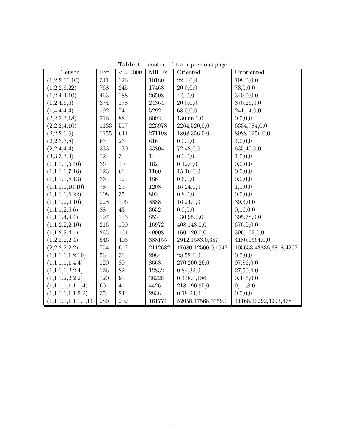| Tensor                     | Ext. | $\leq$ = 4000 | <b>MIPFs</b> | Oriented           | Unoriented             |
|----------------------------|------|---------------|--------------|--------------------|------------------------|
| $\overline{(1,2,2,10,10)}$ | 341  | 126           | 10180        | 22,4,0,0           | 198,0,0,0              |
| (1,2,2,6,22)               | 768  | 245           | 17468        | 20,0,0,0           | 73,0,0,0               |
| (1,2,4,4,10)               | 463  | 188           | 26508        | 4,0,0,0            | 340,0,0,0              |
| (1,2,4,6,6)                | 374  | 178           | 24364        | 20,0,0,0           | 370,26,0,0             |
| (1,4,4,4,4)                | 192  | 74            | 5292         | 68,0,0,0           | 241,14,0,0             |
| (2,2,2,3,18)               | 216  | 88            | 6092         | 130,66,0,0         | 0,0,0,0                |
| (2,2,2,4,10)               | 1133 | 557           | 223978       | 2264,520,0,0       | 6334,784,0,0           |
| (2,2,2,6,6)                | 1155 | 644           | 271198       | 1808,356,0,0       | 8988,1256,0,0          |
| (2,2,3,3,8)                | 63   | 26            | 816          | 0, 0, 0, 0         | 4,0,0,0                |
| (2,2,4,4,4)                | 333  | 130           | 33804        | 72,48,0,0          | 635,40,0,0             |
| (3,3,3,3,3)                | 12   | 3             | 14           | 0,0,0,0            | 1,0,0,0                |
| (1,1,1,1,5,40)             | 36   | 10            | 162          | 0,12,0,0           | 0,0,0,0                |
| (1,1,1,1,7,16)             | 123  | 61            | 1160         | 15,16,0,0          | 0,0,0,0                |
| (1,1,1,1,8,13)             | 36   | 12            | 186          | 0,6,0,0            | 0,0,0,0                |
| (1,1,1,1,10,10)            | 78   | 29            | 1208         | 16,24,0,0          | 1,1,0,0                |
| (1,1,1,1,6,22)             | 108  | 35            | 892          | 0, 8, 0, 0         | 0,0,0,0                |
| (1,1,1,2,4,10)             | 228  | 106           | 8888         | 16,24,0,0          | 39,3,0,0               |
| (1,1,1,2,6,6)              | 88   | 43            | 3652         | 0,0,0,0            | 0,16,0,0               |
| (1,1,1,4,4,4)              | 197  | 113           | 8534         | 430,95,0,0         | 395,78,0,0             |
| (1,1,2,2,2,10)             | 216  | 100           | 16972        | 408,148,0,0        | 676,0,0,0              |
| (1,1,2,2,4,4)              | 265  | 164           | 49008        | 160,120,0,0        | 396,172,0,0            |
| (1,2,2,2,2,4)              | 546  | 403           | 388155       | 2912,1583,0,387    | 4180,1564,0,0          |
| (2,2,2,2,2,2)              | 754  | 617           | 2112682      | 17680,12560,0,1942 | 105653,43836,6818,4202 |
| (1,1,1,1,1,2,10)           | 56   | 31            | 2984         | 28,52,0,0          | 0,0,0,0                |
| (1,1,1,1,1,4,4)            | 120  | 80            | 8668         | 270,200,26,0       | 97,86,0,0              |
| (1,1,1,1,2,2,4)            | 126  | 82            | 12832        | 0,84,32,0          | 27,50,4,0              |
| (1,1,1,2,2,2,2)            | 120  | 91            | 38228        | 0,448,0,186        | 0,416,0,0              |
| (1,1,1,1,1,1,1,4)          | 60   | 41            | 4426         | 218,190,95,0       | 9,11,8,0               |
| (1,1,1,1,1,1,2,2)          | 35   | $24\,$        | 2838         | 0,18,24,0          | 0,0,0,0                |
| (1,1,1,1,1,1,1,1,1)        | 289  | 202           | 161774       | 52058,17568,5359,0 | 41168,10292,3993,478   |

Table  $1$  – continued from previous page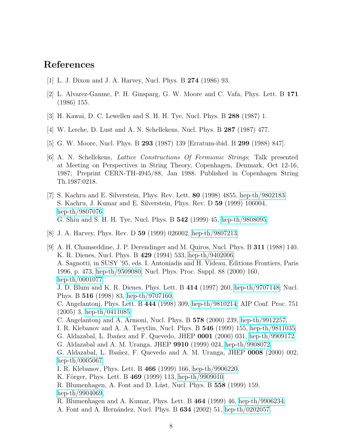## <span id="page-7-0"></span>References

- <span id="page-7-1"></span>[1] L. J. Dixon and J. A. Harvey, Nucl. Phys. B 274 (1986) 93.
- <span id="page-7-2"></span>[2] L. Alvarez-Gaume, P. H. Ginsparg, G. W. Moore and C. Vafa, Phys. Lett. B 171 (1986) 155.
- <span id="page-7-3"></span>[3] H. Kawai, D. C. Lewellen and S. H. H. Tye, Nucl. Phys. B 288 (1987) 1.
- <span id="page-7-4"></span>[4] W. Lerche, D. Lust and A. N. Schellekens, Nucl. Phys. B 287 (1987) 477.
- <span id="page-7-5"></span>[5] G. W. Moore, Nucl. Phys. B 293 (1987) 139 [Erratum-ibid. B 299 (1988) 847].
- [6] A. N. Schellekens, Lattice Constructions Of Fermionic Strings; Talk presented at Meeting on Perspectives in String Theory, Copenhagen, Denmark, Oct 12-16, 1987; Preprint CERN-TH-4945/88, Jan 1988. Published in Copenhagen String Th.1987:0218.
- <span id="page-7-6"></span>[7] S. Kachru and E. Silverstein, Phys. Rev. Lett. 80 (1998) 4855, [hep-th/9802183.](http://arXiv.org/abs/hep-th/9802183) S. Kachru, J. Kumar and E. Silverstein, Phys. Rev. D 59 (1999) 106004, [hep-th/9807076.](http://arXiv.org/abs/hep-th/9807076) G. Shiu and S. H. H. Tye, Nucl. Phys. B 542 (1999) 45, [hep-th/9808095.](http://arXiv.org/abs/hep-th/9808095)
- <span id="page-7-8"></span><span id="page-7-7"></span>[8] J. A. Harvey, Phys. Rev. D 59 (1999) 026002, [hep-th/9807213.](http://arXiv.org/abs/hep-th/9807213)
- [9] A. H. Chamseddine, J. P. Derendinger and M. Quiros, Nucl. Phys. B 311 (1988) 140. K. R. Dienes, Nucl. Phys. B 429 (1994) 533, [hep-th/9402006.](http://arXiv.org/abs/hep-th/9402006) A. Sagnotti, in SUSY '95, eds. I. Antoniadis and H. Videau, Editions Frontiers, Paris 1996, p. 473, [hep-th/9509080;](http://arXiv.org/abs/hep-th/9509080) Nucl. Phys. Proc. Suppl. 88 (2000) 160, [hep-th/0001077.](http://arXiv.org/abs/hep-th/0001077) J. D. Blum and K. R. Dienes, Phys. Lett. B 414 (1997) 260, [hep-th/9707148;](http://arXiv.org/abs/hep-th/9707148) Nucl. Phys. B 516 (1998) 83, [hep-th/9707160.](http://arXiv.org/abs/hep-th/9707160) C. Angelantonj, Phys. Lett. B 444 (1998) 309, [hep-th/9810214;](http://arXiv.org/abs/hep-th/9810214) AIP Conf. Proc. 751 (2005) 3, [hep-th/0411085.](http://arXiv.org/abs/hep-th/0411085) C. Angelantonj and A. Armoni, Nucl. Phys. B 578 (2000) 239, [hep-th/9912257.](http://arXiv.org/abs/hep-th/9912257) I. R. Klebanov and A. A. Tseytlin, Nucl. Phys. B 546 (1999) 155, [hep-th/9811035.](http://arXiv.org/abs/hep-th/9811035) G. Aldazabal, L. Ibañez and F. Quevedo, JHEP  $0001$  (2000) 031, [hep-th/9909172.](http://arXiv.org/abs/hep-th/9909172) G. Aldazabal and A. M. Uranga, JHEP 9910 (1999) 024, [hep-th/9908072.](http://arXiv.org/abs/hep-th/9908072) G. Aldazabal, L. Ibañez, F. Quevedo and A. M. Uranga, JHEP  $0008$  (2000) 002, [hep-th/0005067.](http://arXiv.org/abs/hep-th/0005067) I. R. Klebanov, Phys. Lett. B 466 (1999) 166, [hep-th/9906220.](http://arXiv.org/abs/hep-th/9906220) K. Förger, Phys. Lett. B 469 (1999) 113, [hep-th/9909010.](http://arXiv.org/abs/hep-th/9909010) R. Blumenhagen, A. Font and D. Lüst, Nucl. Phys. B 558 (1999) 159, [hep-th/9904069.](http://arXiv.org/abs/hep-th/9904069) R. Blumenhagen and A. Kumar, Phys. Lett. B 464 (1999) 46, [hep-th/9906234.](http://arXiv.org/abs/hep-th/9906234)
	- A. Font and A. Hernández, Nucl. Phys. B  $634$  (2002) 51, [hep-th/0202057.](http://arXiv.org/abs/hep-th/0202057)